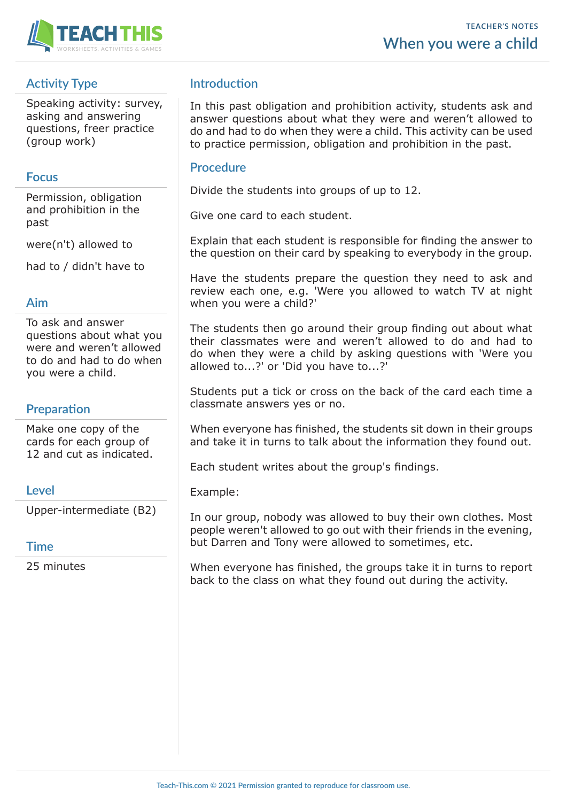

# **Activity Type**

Speaking activity: survey, asking and answering questions, freer practice (group work)

### **Focus**

Permission, obligation and prohibition in the past

were(n't) allowed to

had to / didn't have to

#### **Aim**

To ask and answer questions about what you were and weren't allowed to do and had to do when you were a child.

## **Preparation**

Make one copy of the cards for each group of 12 and cut as indicated.

### **Level**

Upper-intermediate (B2)

#### **Time**

25 minutes

## **Introduction**

In this past obligation and prohibition activity, students ask and answer questions about what they were and weren't allowed to do and had to do when they were a child. This activity can be used to practice permission, obligation and prohibition in the past.

#### **Procedure**

Divide the students into groups of up to 12.

Give one card to each student.

Explain that each student is responsible for finding the answer to the question on their card by speaking to everybody in the group.

Have the students prepare the question they need to ask and review each one, e.g. 'Were you allowed to watch TV at night when you were a child?'

The students then go around their group finding out about what their classmates were and weren't allowed to do and had to do when they were a child by asking questions with 'Were you allowed to...?' or 'Did you have to...?'

Students put a tick or cross on the back of the card each time a classmate answers yes or no.

When everyone has finished, the students sit down in their groups and take it in turns to talk about the information they found out.

Each student writes about the group's findings.

Example:

In our group, nobody was allowed to buy their own clothes. Most people weren't allowed to go out with their friends in the evening, but Darren and Tony were allowed to sometimes, etc.

When everyone has finished, the groups take it in turns to report back to the class on what they found out during the activity.